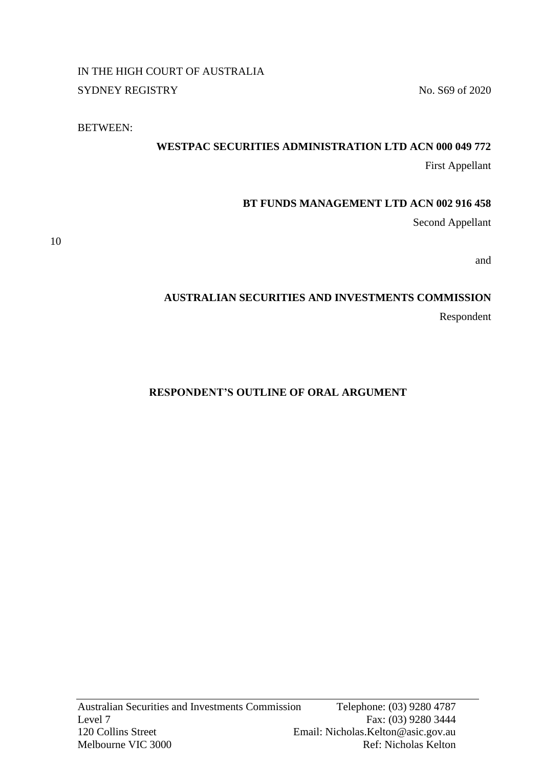IN THE HIGH COURT OF AUSTRALIA SYDNEY REGISTRY No. S69 of 2020

BETWEEN:

## **WESTPAC SECURITIES ADMINISTRATION LTD ACN 000 049 772**

First Appellant

## **BT FUNDS MANAGEMENT LTD ACN 002 916 458**

Second Appellant

10

and

## **AUSTRALIAN SECURITIES AND INVESTMENTS COMMISSION**

Respondent

## **RESPONDENT'S OUTLINE OF ORAL ARGUMENT**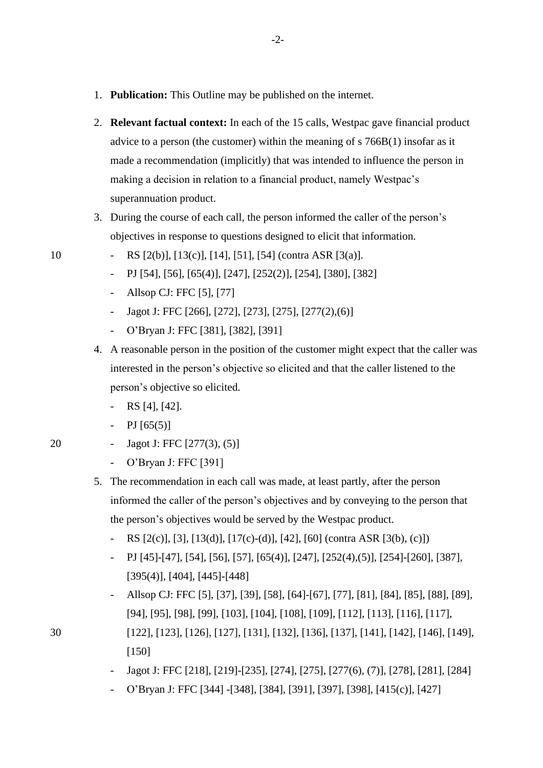- 1. **Publication:** This Outline may be published on the internet.
- 2. **Relevant factual context:** In each of the 15 calls, Westpac gave financial product advice to a person (the customer) within the meaning of s 766B(1) insofar as it made a recommendation (implicitly) that was intended to influence the person in making a decision in relation to a financial product, namely Westpac's superannuation product.
- 3. During the course of each call, the person informed the caller of the person's objectives in response to questions designed to elicit that information.
- 10 RS [2(b)], [13(c)], [14], [51], [54] (contra ASR [3(a)].
	- PJ [54], [56], [65(4)], [247], [252(2)], [254], [380], [382]
	- Allsop CJ: FFC [5], [77]
	- Jagot J: FFC [266], [272], [273], [275], [277(2),(6)]
	- O'Bryan J: FFC [381], [382], [391]
	- 4. A reasonable person in the position of the customer might expect that the caller was interested in the person's objective so elicited and that the caller listened to the person's objective so elicited.
		- RS [4], [42].
		- PJ  $[65(5)]$
- 20 Jagot J: FFC [277(3), (5)]
	- O'Bryan J: FFC [391]
	- 5. The recommendation in each call was made, at least partly, after the person informed the caller of the person's objectives and by conveying to the person that the person's objectives would be served by the Westpac product.
		- RS  $[2(c)]$ ,  $[3]$ ,  $[13(d)]$ ,  $[17(c)-(d)]$ ,  $[42]$ ,  $[60]$  (contra ASR  $[3(b), (c)]$ )
		- PJ [45]-[47], [54], [56], [57], [65(4)], [247], [252(4),(5)], [254]-[260], [387], [395(4)], [404], [445]-[448]
- Allsop CJ: FFC [5], [37], [39], [58], [64]-[67], [77], [81], [84], [85], [88], [89], [94], [95], [98], [99], [103], [104], [108], [109], [112], [113], [116], [117], 30 [122], [123], [126], [127], [131], [132], [136], [137], [141], [142], [146], [149],
	-

[150]

- Jagot J: FFC [218], [219]-[235], [274], [275], [277(6), (7)], [278], [281], [284]
- O'Bryan J: FFC [344] -[348], [384], [391], [397], [398], [415(c)], [427]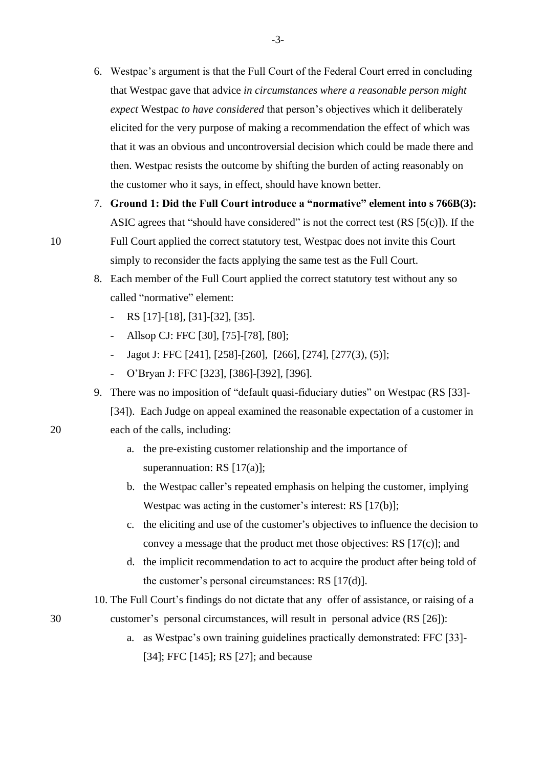- 6. Westpac's argument is that the Full Court of the Federal Court erred in concluding that Westpac gave that advice *in circumstances where a reasonable person might expect* Westpac *to have considered* that person's objectives which it deliberately elicited for the very purpose of making a recommendation the effect of which was that it was an obvious and uncontroversial decision which could be made there and then. Westpac resists the outcome by shifting the burden of acting reasonably on the customer who it says, in effect, should have known better.
- 7. **Ground 1: Did the Full Court introduce a "normative" element into s 766B(3):**  ASIC agrees that "should have considered" is not the correct test  $(RS [5(c)])$ . If the 10 Full Court applied the correct statutory test, Westpac does not invite this Court simply to reconsider the facts applying the same test as the Full Court.
	- 8. Each member of the Full Court applied the correct statutory test without any so called "normative" element:
		- RS [17]-[18], [31]-[32], [35].
		- Allsop CJ: FFC [30], [75]-[78], [80];
		- Jagot J: FFC [241], [258]-[260], [266], [274], [277(3), (5)];
		- O'Bryan J: FFC [323], [386]-[392], [396].
	- 9. There was no imposition of "default quasi-fiduciary duties" on Westpac (RS [33]-

[34]). Each Judge on appeal examined the reasonable expectation of a customer in 20 each of the calls, including:

- a. the pre-existing customer relationship and the importance of superannuation: RS [17(a)];
- b. the Westpac caller's repeated emphasis on helping the customer, implying Westpac was acting in the customer's interest: RS [17(b)];
- c. the eliciting and use of the customer's objectives to influence the decision to convey a message that the product met those objectives: RS [17(c)]; and
- d. the implicit recommendation to act to acquire the product after being told of the customer's personal circumstances: RS [17(d)].

10. The Full Court's findings do not dictate that any offer of assistance, or raising of a

- 30 customer's personal circumstances, will result in personal advice (RS [26]):
	- a. as Westpac's own training guidelines practically demonstrated: FFC [33]- [34]; FFC [145]; RS [27]; and because